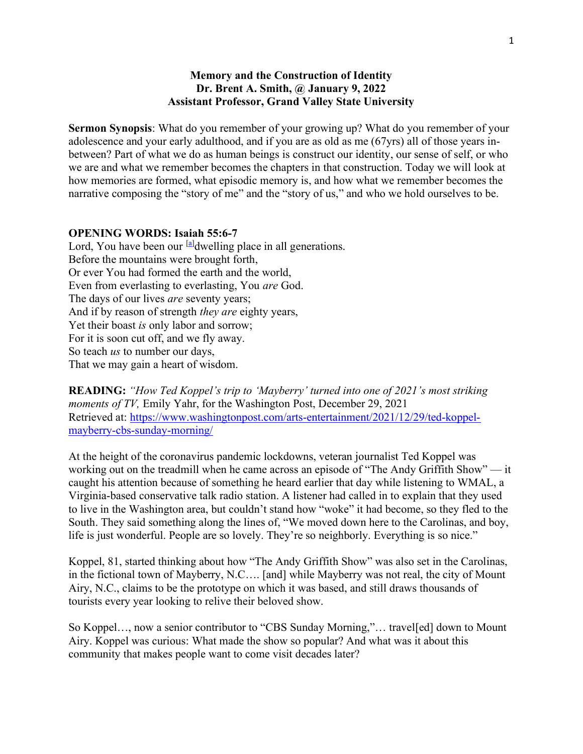## Memory and the Construction of Identity Dr. Brent A. Smith, @ January 9, 2022 Assistant Professor, Grand Valley State University

Sermon Synopsis: What do you remember of your growing up? What do you remember of your adolescence and your early adulthood, and if you are as old as me (67yrs) all of those years inbetween? Part of what we do as human beings is construct our identity, our sense of self, or who we are and what we remember becomes the chapters in that construction. Today we will look at how memories are formed, what episodic memory is, and how what we remember becomes the narrative composing the "story of me" and the "story of us," and who we hold ourselves to be.

## OPENING WORDS: Isaiah 55:6-7

Lord, You have been our  $^{[a]}$ dwelling place in all generations. Before the mountains were brought forth, Or ever You had formed the earth and the world, Even from everlasting to everlasting, You are God. The days of our lives *are* seventy years; And if by reason of strength *they are* eighty years, Yet their boast *is* only labor and sorrow; For it is soon cut off, and we fly away. So teach *us* to number our days, That we may gain a heart of wisdom.

READING: "How Ted Koppel's trip to 'Mayberry' turned into one of 2021's most striking moments of TV, Emily Yahr, for the Washington Post, December 29, 2021 Retrieved at: https://www.washingtonpost.com/arts-entertainment/2021/12/29/ted-koppelmayberry-cbs-sunday-morning/

At the height of the coronavirus pandemic lockdowns, veteran journalist Ted Koppel was working out on the treadmill when he came across an episode of "The Andy Griffith Show" — it caught his attention because of something he heard earlier that day while listening to WMAL, a Virginia-based conservative talk radio station. A listener had called in to explain that they used to live in the Washington area, but couldn't stand how "woke" it had become, so they fled to the South. They said something along the lines of, "We moved down here to the Carolinas, and boy, life is just wonderful. People are so lovely. They're so neighborly. Everything is so nice."

Koppel, 81, started thinking about how "The Andy Griffith Show" was also set in the Carolinas, in the fictional town of Mayberry, N.C…. [and] while Mayberry was not real, the city of Mount Airy, N.C., claims to be the prototype on which it was based, and still draws thousands of tourists every year looking to relive their beloved show.

So Koppel…, now a senior contributor to "CBS Sunday Morning,"… travel[ed] down to Mount Airy. Koppel was curious: What made the show so popular? And what was it about this community that makes people want to come visit decades later?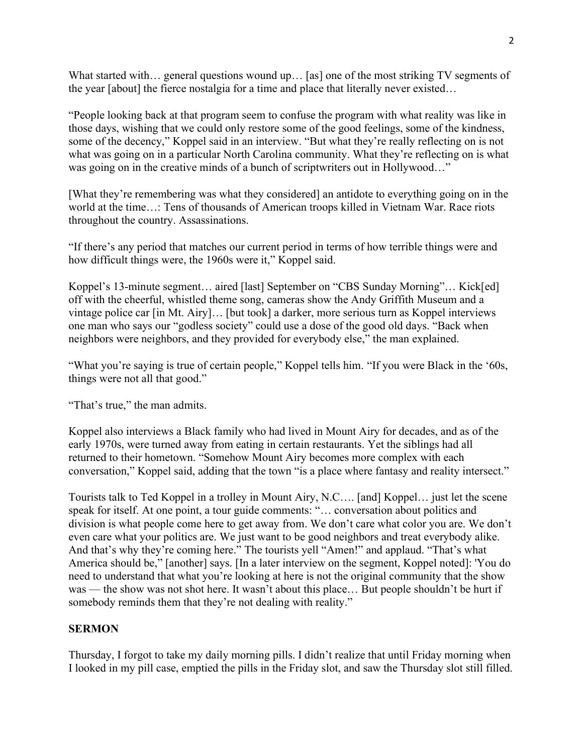What started with... general questions wound up... [as] one of the most striking TV segments of the year [about] the fierce nostalgia for a time and place that literally never existed…

"People looking back at that program seem to confuse the program with what reality was like in those days, wishing that we could only restore some of the good feelings, some of the kindness, some of the decency," Koppel said in an interview. "But what they're really reflecting on is not what was going on in a particular North Carolina community. What they're reflecting on is what was going on in the creative minds of a bunch of scriptwriters out in Hollywood..."

[What they're remembering was what they considered] an antidote to everything going on in the world at the time…: Tens of thousands of American troops killed in Vietnam War. Race riots throughout the country. Assassinations.

"If there's any period that matches our current period in terms of how terrible things were and how difficult things were, the 1960s were it," Koppel said.

Koppel's 13-minute segment... aired [last] September on "CBS Sunday Morning"... Kick[ed] off with the cheerful, whistled theme song, cameras show the Andy Griffith Museum and a vintage police car [in Mt. Airy]… [but took] a darker, more serious turn as Koppel interviews one man who says our "godless society" could use a dose of the good old days. "Back when neighbors were neighbors, and they provided for everybody else," the man explained.

"What you're saying is true of certain people," Koppel tells him. "If you were Black in the '60s, things were not all that good."

"That's true," the man admits.

Koppel also interviews a Black family who had lived in Mount Airy for decades, and as of the early 1970s, were turned away from eating in certain restaurants. Yet the siblings had all returned to their hometown. "Somehow Mount Airy becomes more complex with each conversation," Koppel said, adding that the town "is a place where fantasy and reality intersect."

Tourists talk to Ted Koppel in a trolley in Mount Airy, N.C…. [and] Koppel… just let the scene speak for itself. At one point, a tour guide comments: "… conversation about politics and division is what people come here to get away from. We don't care what color you are. We don't even care what your politics are. We just want to be good neighbors and treat everybody alike. And that's why they're coming here." The tourists yell "Amen!" and applaud. "That's what America should be," [another] says. [In a later interview on the segment, Koppel noted]: 'You do need to understand that what you're looking at here is not the original community that the show was — the show was not shot here. It wasn't about this place… But people shouldn't be hurt if somebody reminds them that they're not dealing with reality."

## **SERMON**

Thursday, I forgot to take my daily morning pills. I didn't realize that until Friday morning when I looked in my pill case, emptied the pills in the Friday slot, and saw the Thursday slot still filled.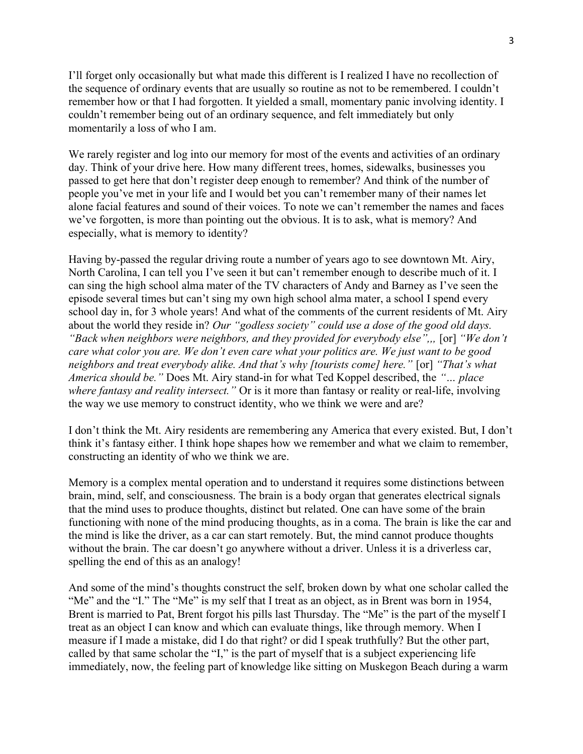I'll forget only occasionally but what made this different is I realized I have no recollection of the sequence of ordinary events that are usually so routine as not to be remembered. I couldn't remember how or that I had forgotten. It yielded a small, momentary panic involving identity. I couldn't remember being out of an ordinary sequence, and felt immediately but only momentarily a loss of who I am.

We rarely register and log into our memory for most of the events and activities of an ordinary day. Think of your drive here. How many different trees, homes, sidewalks, businesses you passed to get here that don't register deep enough to remember? And think of the number of people you've met in your life and I would bet you can't remember many of their names let alone facial features and sound of their voices. To note we can't remember the names and faces we've forgotten, is more than pointing out the obvious. It is to ask, what is memory? And especially, what is memory to identity?

Having by-passed the regular driving route a number of years ago to see downtown Mt. Airy, North Carolina, I can tell you I've seen it but can't remember enough to describe much of it. I can sing the high school alma mater of the TV characters of Andy and Barney as I've seen the episode several times but can't sing my own high school alma mater, a school I spend every school day in, for 3 whole years! And what of the comments of the current residents of Mt. Airy about the world they reside in? Our "godless society" could use a dose of the good old days. "Back when neighbors were neighbors, and they provided for everybody else",,, [or] "We don't care what color you are. We don't even care what your politics are. We just want to be good neighbors and treat everybody alike. And that's why [tourists come] here." [or] "That's what America should be." Does Mt. Airy stand-in for what Ted Koppel described, the "… place where fantasy and reality intersect." Or is it more than fantasy or reality or real-life, involving the way we use memory to construct identity, who we think we were and are?

I don't think the Mt. Airy residents are remembering any America that every existed. But, I don't think it's fantasy either. I think hope shapes how we remember and what we claim to remember, constructing an identity of who we think we are.

Memory is a complex mental operation and to understand it requires some distinctions between brain, mind, self, and consciousness. The brain is a body organ that generates electrical signals that the mind uses to produce thoughts, distinct but related. One can have some of the brain functioning with none of the mind producing thoughts, as in a coma. The brain is like the car and the mind is like the driver, as a car can start remotely. But, the mind cannot produce thoughts without the brain. The car doesn't go anywhere without a driver. Unless it is a driverless car, spelling the end of this as an analogy!

And some of the mind's thoughts construct the self, broken down by what one scholar called the "Me" and the "I." The "Me" is my self that I treat as an object, as in Brent was born in 1954, Brent is married to Pat, Brent forgot his pills last Thursday. The "Me" is the part of the myself I treat as an object I can know and which can evaluate things, like through memory. When I measure if I made a mistake, did I do that right? or did I speak truthfully? But the other part, called by that same scholar the "I," is the part of myself that is a subject experiencing life immediately, now, the feeling part of knowledge like sitting on Muskegon Beach during a warm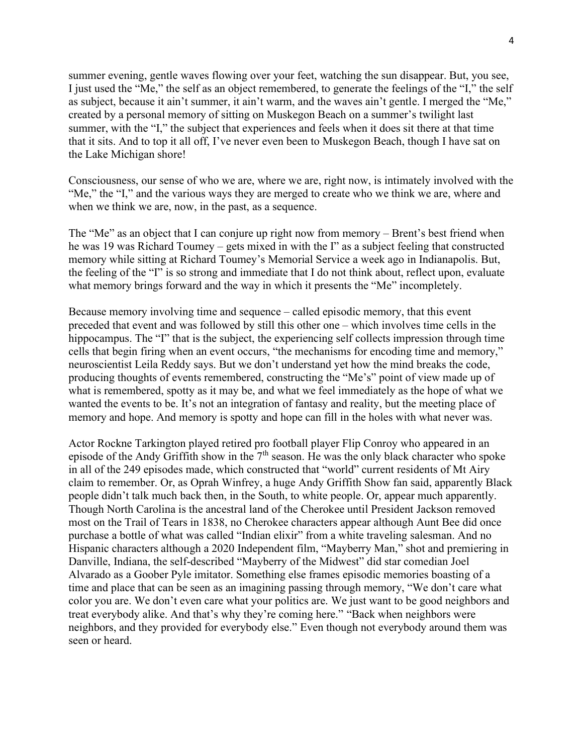summer evening, gentle waves flowing over your feet, watching the sun disappear. But, you see, I just used the "Me," the self as an object remembered, to generate the feelings of the "I," the self as subject, because it ain't summer, it ain't warm, and the waves ain't gentle. I merged the "Me," created by a personal memory of sitting on Muskegon Beach on a summer's twilight last summer, with the "I," the subject that experiences and feels when it does sit there at that time that it sits. And to top it all off, I've never even been to Muskegon Beach, though I have sat on the Lake Michigan shore!

Consciousness, our sense of who we are, where we are, right now, is intimately involved with the "Me," the "I," and the various ways they are merged to create who we think we are, where and when we think we are, now, in the past, as a sequence.

The "Me" as an object that I can conjure up right now from memory – Brent's best friend when he was 19 was Richard Toumey – gets mixed in with the I" as a subject feeling that constructed memory while sitting at Richard Toumey's Memorial Service a week ago in Indianapolis. But, the feeling of the "I" is so strong and immediate that I do not think about, reflect upon, evaluate what memory brings forward and the way in which it presents the "Me" incompletely.

Because memory involving time and sequence – called episodic memory, that this event preceded that event and was followed by still this other one – which involves time cells in the hippocampus. The "I" that is the subject, the experiencing self collects impression through time cells that begin firing when an event occurs, "the mechanisms for encoding time and memory," neuroscientist Leila Reddy says. But we don't understand yet how the mind breaks the code, producing thoughts of events remembered, constructing the "Me's" point of view made up of what is remembered, spotty as it may be, and what we feel immediately as the hope of what we wanted the events to be. It's not an integration of fantasy and reality, but the meeting place of memory and hope. And memory is spotty and hope can fill in the holes with what never was.

Actor Rockne Tarkington played retired pro football player Flip Conroy who appeared in an episode of the Andy Griffith show in the  $7<sup>th</sup>$  season. He was the only black character who spoke in all of the 249 episodes made, which constructed that "world" current residents of Mt Airy claim to remember. Or, as Oprah Winfrey, a huge Andy Griffith Show fan said, apparently Black people didn't talk much back then, in the South, to white people. Or, appear much apparently. Though North Carolina is the ancestral land of the Cherokee until President Jackson removed most on the Trail of Tears in 1838, no Cherokee characters appear although Aunt Bee did once purchase a bottle of what was called "Indian elixir" from a white traveling salesman. And no Hispanic characters although a 2020 Independent film, "Mayberry Man," shot and premiering in Danville, Indiana, the self-described "Mayberry of the Midwest" did star comedian Joel Alvarado as a Goober Pyle imitator. Something else frames episodic memories boasting of a time and place that can be seen as an imagining passing through memory, "We don't care what color you are. We don't even care what your politics are. We just want to be good neighbors and treat everybody alike. And that's why they're coming here." "Back when neighbors were neighbors, and they provided for everybody else." Even though not everybody around them was seen or heard.